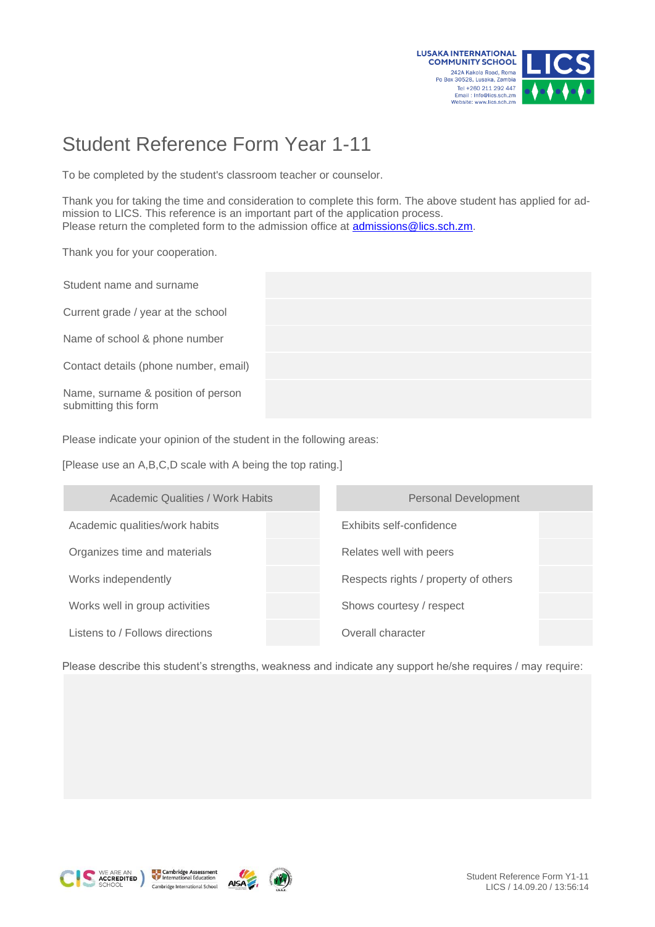

## Student Reference Form Year 1-11

To be completed by the student's classroom teacher or counselor.

Thank you for taking the time and consideration to complete this form. The above student has applied for admission to LICS. This reference is an important part of the application process. Please return the completed form to the admission office at [admissions@lics.sch.zm.](mailto:admissions@lics.sch.zm)

Thank you for your cooperation.

Student name and surname Current grade / year at the school Name of school & phone number Contact details (phone number, email) Name, surname & position of person submitting this form

Please indicate your opinion of the student in the following areas:

[Please use an A,B,C,D scale with A being the top rating.]

| <b>Academic Qualities / Work Habits</b> | <b>Personal Development</b>          |
|-----------------------------------------|--------------------------------------|
| Academic qualities/work habits          | Exhibits self-confidence             |
| Organizes time and materials            | Relates well with peers              |
| Works independently                     | Respects rights / property of others |
| Works well in group activities          | Shows courtesy / respect             |
| Listens to / Follows directions         | Overall character                    |

Please describe this student's strengths, weakness and indicate any support he/she requires / may require:







**AISA**